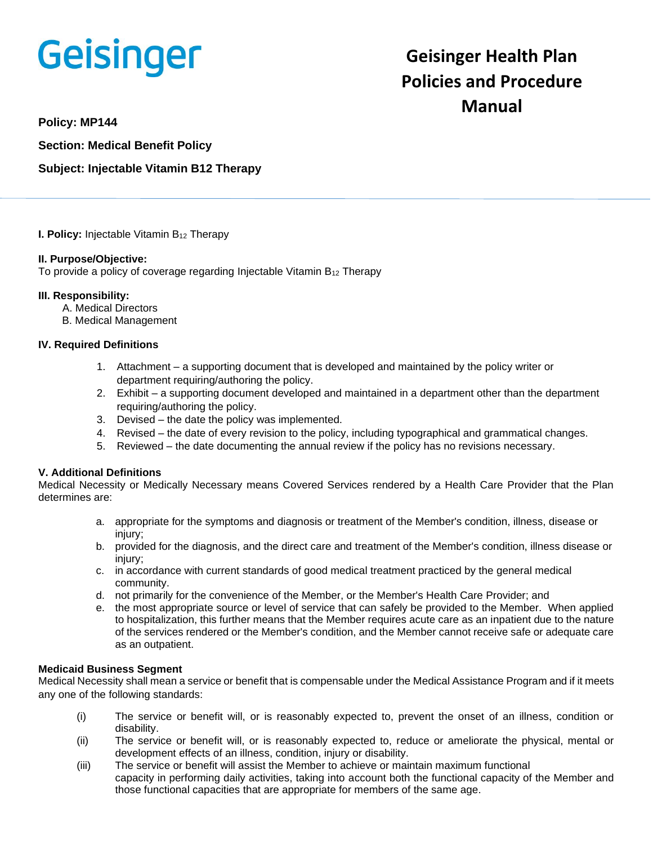# Geisinger

# **Geisinger Health Plan Policies and Procedure Manual**

**Policy: MP144**

**Section: Medical Benefit Policy**

# **Subject: Injectable Vitamin B12 Therapy**

**I. Policy:** Injectable Vitamin B<sub>12</sub> Therapy

#### **II. Purpose/Objective:**

To provide a policy of coverage regarding Injectable Vitamin  $B_{12}$  Therapy

#### **III. Responsibility:**

- A. Medical Directors
- B. Medical Management

#### **IV. Required Definitions**

- 1. Attachment a supporting document that is developed and maintained by the policy writer or department requiring/authoring the policy.
- 2. Exhibit a supporting document developed and maintained in a department other than the department requiring/authoring the policy.
- 3. Devised the date the policy was implemented.
- 4. Revised the date of every revision to the policy, including typographical and grammatical changes.
- 5. Reviewed the date documenting the annual review if the policy has no revisions necessary.

### **V. Additional Definitions**

Medical Necessity or Medically Necessary means Covered Services rendered by a Health Care Provider that the Plan determines are:

- a. appropriate for the symptoms and diagnosis or treatment of the Member's condition, illness, disease or injury;
- b. provided for the diagnosis, and the direct care and treatment of the Member's condition, illness disease or injury;
- c. in accordance with current standards of good medical treatment practiced by the general medical community.
- d. not primarily for the convenience of the Member, or the Member's Health Care Provider; and
- e. the most appropriate source or level of service that can safely be provided to the Member. When applied to hospitalization, this further means that the Member requires acute care as an inpatient due to the nature of the services rendered or the Member's condition, and the Member cannot receive safe or adequate care as an outpatient.

#### **Medicaid Business Segment**

Medical Necessity shall mean a service or benefit that is compensable under the Medical Assistance Program and if it meets any one of the following standards:

- (i) The service or benefit will, or is reasonably expected to, prevent the onset of an illness, condition or disability.
- (ii) The service or benefit will, or is reasonably expected to, reduce or ameliorate the physical, mental or development effects of an illness, condition, injury or disability.
- (iii) The service or benefit will assist the Member to achieve or maintain maximum functional capacity in performing daily activities, taking into account both the functional capacity of the Member and those functional capacities that are appropriate for members of the same age.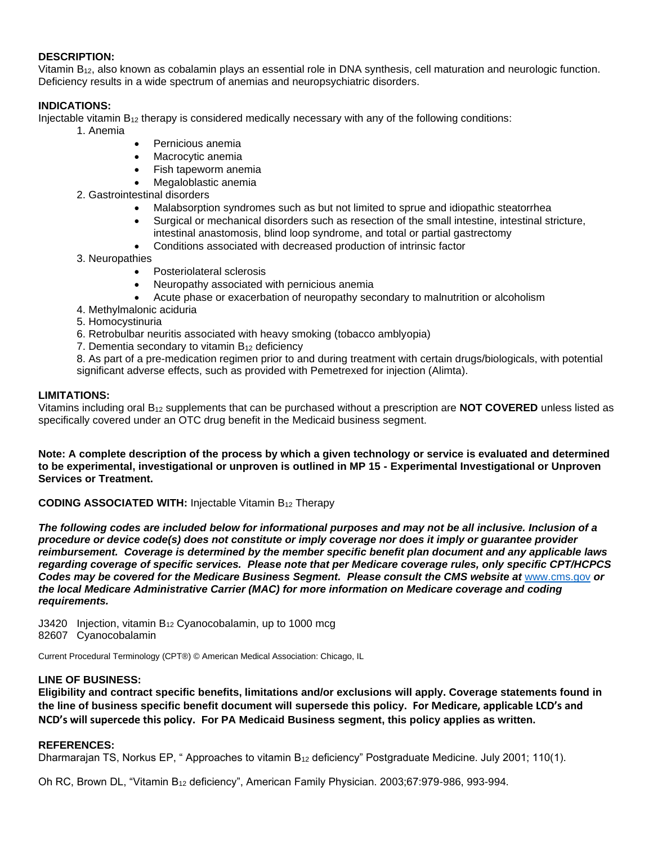#### **DESCRIPTION:**

Vitamin B12, also known as cobalamin plays an essential role in DNA synthesis, cell maturation and neurologic function. Deficiency results in a wide spectrum of anemias and neuropsychiatric disorders.

## **INDICATIONS:**

Injectable vitamin  $B_{12}$  therapy is considered medically necessary with any of the following conditions:

- 1. Anemia
	- Pernicious anemia
	- Macrocytic anemia
	- Fish tapeworm anemia
	- Megaloblastic anemia
- 2. Gastrointestinal disorders
	- Malabsorption syndromes such as but not limited to sprue and idiopathic steatorrhea
	- Surgical or mechanical disorders such as resection of the small intestine, intestinal stricture, intestinal anastomosis, blind loop syndrome, and total or partial gastrectomy
	- Conditions associated with decreased production of intrinsic factor
- 3. Neuropathies
	- Posteriolateral sclerosis
	- Neuropathy associated with pernicious anemia
	- Acute phase or exacerbation of neuropathy secondary to malnutrition or alcoholism
- 4. Methylmalonic aciduria
- 5. Homocystinuria
- 6. Retrobulbar neuritis associated with heavy smoking (tobacco amblyopia)
- 7. Dementia secondary to vitamin B<sup>12</sup> deficiency

8. As part of a pre-medication regimen prior to and during treatment with certain drugs/biologicals, with potential significant adverse effects, such as provided with Pemetrexed for injection (Alimta).

#### **LIMITATIONS:**

Vitamins including oral B<sup>12</sup> supplements that can be purchased without a prescription are **NOT COVERED** unless listed as specifically covered under an OTC drug benefit in the Medicaid business segment.

**Note: A complete description of the process by which a given technology or service is evaluated and determined to be experimental, investigational or unproven is outlined in MP 15 - Experimental Investigational or Unproven Services or Treatment.**

**CODING ASSOCIATED WITH:** Injectable Vitamin B<sup>12</sup> Therapy

*The following codes are included below for informational purposes and may not be all inclusive. Inclusion of a procedure or device code(s) does not constitute or imply coverage nor does it imply or guarantee provider reimbursement. Coverage is determined by the member specific benefit plan document and any applicable laws regarding coverage of specific services. Please note that per Medicare coverage rules, only specific CPT/HCPCS Codes may be covered for the Medicare Business Segment. Please consult the CMS website at* [www.cms.gov](http://www.cms.gov/) *or the local Medicare Administrative Carrier (MAC) for more information on Medicare coverage and coding requirements.*

J3420 Injection, vitamin  $B_{12}$  Cyanocobalamin, up to 1000 mcg 82607 Cyanocobalamin

Current Procedural Terminology (CPT®) © American Medical Association: Chicago, IL

#### **LINE OF BUSINESS:**

**Eligibility and contract specific benefits, limitations and/or exclusions will apply. Coverage statements found in the line of business specific benefit document will supersede this policy. For Medicare, applicable LCD's and NCD's will supercede this policy. For PA Medicaid Business segment, this policy applies as written.**

#### **REFERENCES:**

Dharmarajan TS, Norkus EP, " Approaches to vitamin B<sup>12</sup> deficiency" Postgraduate Medicine. July 2001; 110(1).

Oh RC, Brown DL, "Vitamin B<sup>12</sup> deficiency", American Family Physician. 2003;67:979-986, 993-994.